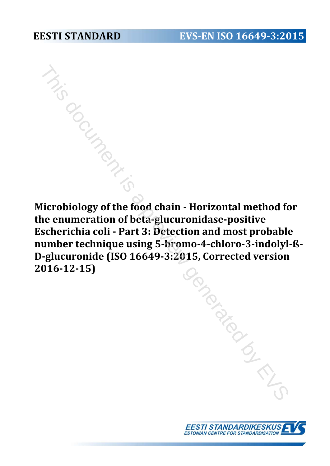**Microbiology of the food chain - Horizontal method for the enumeration of beta-glucuronidase-positive Escherichia coli - Part 3: Detection and most probable number technique using 5-bromo-4-chloro-3-indolyl-ß-D-glucuronide (ISO 16649-3:2015, Corrected version 2016-12-15)**  Journal Previous Clark

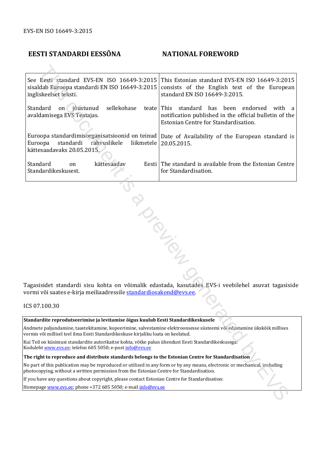# **EESTI STANDARDI EESSÕNA NATIONAL FOREWORD**

| sisaldab Euroopa standardi EN ISO 16649-3:2015<br>ingliskeelset teksti.                                                                                                                                                | See Eesti standard EVS-EN ISO 16649-3:2015 This Estonian standard EVS-EN ISO 16649-3:2015<br>consists of the English text of the European<br>standard EN ISO 16649-3:2015. |  |  |
|------------------------------------------------------------------------------------------------------------------------------------------------------------------------------------------------------------------------|----------------------------------------------------------------------------------------------------------------------------------------------------------------------------|--|--|
| sellekohase<br>Standard<br>on jõustunud<br>teate<br>avaldamisega EVS Teatajas.                                                                                                                                         | This<br>standard has<br>been<br>endorsed<br>with<br><sub>a</sub><br>notification published in the official bulletin of the<br>Estonian Centre for Standardisation.         |  |  |
| standardi<br>rahvuslikele<br>Euroopa<br>kättesaadavaks 20.05.2015.                                                                                                                                                     | Euroopa standardimisorganisatsioonid on teinud   Date of Availability of the European standard is<br>liikmetele   20.05.2015.                                              |  |  |
| kättesaadav<br>Standard<br>on<br>Standardikeskusest.                                                                                                                                                                   | Eesti The standard is available from the Estonian Centre<br>for Standardisation.                                                                                           |  |  |
|                                                                                                                                                                                                                        |                                                                                                                                                                            |  |  |
|                                                                                                                                                                                                                        |                                                                                                                                                                            |  |  |
|                                                                                                                                                                                                                        |                                                                                                                                                                            |  |  |
|                                                                                                                                                                                                                        |                                                                                                                                                                            |  |  |
|                                                                                                                                                                                                                        |                                                                                                                                                                            |  |  |
|                                                                                                                                                                                                                        |                                                                                                                                                                            |  |  |
| Drain                                                                                                                                                                                                                  |                                                                                                                                                                            |  |  |
|                                                                                                                                                                                                                        |                                                                                                                                                                            |  |  |
|                                                                                                                                                                                                                        |                                                                                                                                                                            |  |  |
|                                                                                                                                                                                                                        | Tagasisidet standardi sisu kohta on võimalik edastada, kasutades EVS-i veebilehel asuvat tagasiside                                                                        |  |  |
| vormi või saates e-kirja meiliaadressile <u>standardiosakond@evs.ee</u> .                                                                                                                                              |                                                                                                                                                                            |  |  |
| CS 07.100.30                                                                                                                                                                                                           |                                                                                                                                                                            |  |  |
|                                                                                                                                                                                                                        |                                                                                                                                                                            |  |  |
| Itandardite reprodutseerimise ja levitamise õigus kuulub Eesti Standardikeskusele<br>Andmete paljundamine, taastekitamine, kopeerimine, salvestamine elektroonsesse süsteemi või edastamine ükskõik millises           |                                                                                                                                                                            |  |  |
| vormis või millisel teel ilma Eesti Standardikeskuse kirjaliku loata on keelatud.                                                                                                                                      |                                                                                                                                                                            |  |  |
| kui Teil on küsimusi standardite autorikaitse kohta, võtke palun ühendust Eesti Standardikeskusega:<br>Coduleht www.eys.ee; telefon 605 5050; e-post info@eys.ee                                                       |                                                                                                                                                                            |  |  |
| The right to reproduce and distribute standards belongs to the Estonian Centre for Standardisation                                                                                                                     |                                                                                                                                                                            |  |  |
| No part of this publication may be reproduced or utilized in any form or by any means, electronic or mechanical, including<br>ohotocopying, without a written permission from the Estonian Centre for Standardisation. |                                                                                                                                                                            |  |  |
| f you have any questions about copyright, please contact Estonian Centre for Standardisation:                                                                                                                          |                                                                                                                                                                            |  |  |
| Iomepage www.evs.ee; phone +372 605 5050; e-mail info@evs.ee                                                                                                                                                           |                                                                                                                                                                            |  |  |
|                                                                                                                                                                                                                        |                                                                                                                                                                            |  |  |

ICS 07.100.30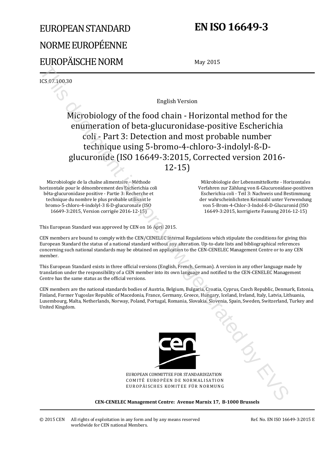# EUROPEAN STANDARD NORME EUROPÉENNE EUROPÄISCHE NORM

# **EN ISO 16649-3**

May 2015

ICS 07.100.30

English Version

Microbiology of the food chain - Horizontal method for the enumeration of beta-glucuronidase-positive Escherichia coli - Part 3: Detection and most probable number technique using 5-bromo-4-chloro-3-indolyl-ß-Dglucuronide (ISO 16649-3:2015, Corrected version 2016- 12-15) Example 1988 and 2008 and 2018 and 2018 and 2018 and 2018 and 2018 and 2018 and 2018 and 2018 and 2018 and 2018 and 2018 and 2018 and 2018 and 2018 and 2018 and 2018 and 2018 and 2018 and 2018 and 2018 and 2018 and 2018 a

Microbiologie de la chaîne alimentaire - Méthode horizontale pour le dénombrement des Escherichia coli bêta-glucuronidase positive - Partie 3: Recherche et technique du nombre le plus probable utilisant le bromo-5-chloro-4-indolyl-3 ß-D-glucuronate (ISO 16649-3:2015, Version corrigée 2016-12-15)

 Mikrobiologie der Lebensmittelkette - Horizontales Verfahren zur Zählung von ß-Glucuronidase-positiven Escherichia coli - Teil 3: Nachweis und Bestimmung der wahrscheinlichsten Keimzahl unter Verwendung von 5-Brom-4-Chlor-3-Indol-ß-D-Glucuronid (ISO 16649-3:2015, korrigierte Fassung 2016-12-15)

This European Standard was approved by CEN on 16 April 2015.

CEN members are bound to comply with the CEN/CENELEC Internal Regulations which stipulate the conditions for giving this European Standard the status of a national standard without any alteration. Up-to-date lists and bibliographical references concerning such national standards may be obtained on application to the CEN-CENELEC Management Centre or to any CEN member.

This European Standard exists in three official versions (English, French, German). A version in any other language made by translation under the responsibility of a CEN member into its own language and notified to the CEN-CENELEC Management Centre has the same status as the official versions.

CEN members are the national standards bodies of Austria, Belgium, Bulgaria, Croatia, Cyprus, Czech Republic, Denmark, Estonia, Finland, Former Yugoslav Republic of Macedonia, France, Germany, Greece, Hungary, Iceland, Ireland, Italy, Latvia, Lithuania, Luxembourg, Malta, Netherlands, Norway, Poland, Portugal, Romania, Slovakia, Slovenia, Spain, Sweden, Switzerland, Turkey and United Kingdom.



EUROPEAN COMMITTEE FOR STANDARDIZATION COMITÉ EUROPÉEN DE NORMALISATION EUROPÄISCHES KOMITEE FÜR NORMUNG

### **CEN-CENELEC Management Centre: Avenue Marnix 17, B-1000 Brussels**

© 2015 CEN All rights of exploitation in any form and by any means reserved worldwide for CEN national Members.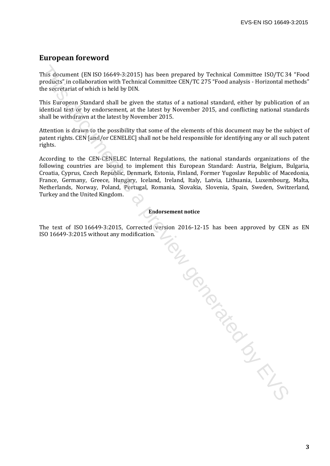## **European foreword**

This document (EN ISO 16649-3:2015) has been prepared by Technical Committee ISO/TC 34 "Food products" in collaboration with Technical Committee CEN/TC 275 "Food analysis - Horizontal methods" the secretariat of which is held by DIN.

This European Standard shall be given the status of a national standard, either by publication of an identical text or by endorsement, at the latest by November 2015, and conflicting national standards shall be withdrawn at the latest by November 2015.

Attention is drawn to the possibility that some of the elements of this document may be the subject of patent rights. CEN [and/or CENELEC] shall not be held responsible for identifying any or all such patent rights.

According to the CEN-CENELEC Internal Regulations, the national standards organizations of the following countries are bound to implement this European Standard: Austria, Belgium, Bulgaria, Croatia, Cyprus, Czech Republic, Denmark, Estonia, Finland, Former Yugoslav Republic of Macedonia, France, Germany, Greece, Hungary, Iceland, Ireland, Italy, Latvia, Lithuania, Luxembourg, Malta, Netherlands, Norway, Poland, Portugal, Romania, Slovakia, Slovenia, Spain, Sweden, Switzerland, Turkey and the United Kingdom.

### **Endorsement notice**

The text of ISO 16649-3:2015, Corrected version 2016-12-15 has been approved by CEN as EN ISO 16649-3:2015 without any modification.

TRING DRIVER IS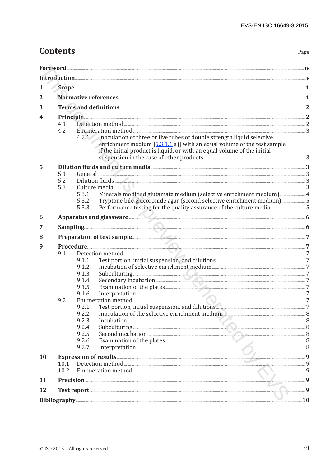# **Contents**

Page

| 1              |            |                                                                                                                                                                                                                                      |  |
|----------------|------------|--------------------------------------------------------------------------------------------------------------------------------------------------------------------------------------------------------------------------------------|--|
| $\overline{2}$ |            |                                                                                                                                                                                                                                      |  |
| 3              |            |                                                                                                                                                                                                                                      |  |
|                |            |                                                                                                                                                                                                                                      |  |
| 4              | 4.1<br>4.2 | 4.2.1 Inoculation of three or five tubes of double strength liquid selective<br>enrichment medium $[5.3.1.1 a]$ with an equal volume of the test sample<br>if the initial product is liquid, or with an equal volume of the initial  |  |
| 5              | 5.1        | General 3                                                                                                                                                                                                                            |  |
|                | 5.2<br>5.3 | Minerals modified glutamate medium (selective enrichment medium) 4<br>5.3.1<br>Tryptone bile glucoronide agar (second selective enrichment medium)5<br>5.3.2<br>5.3.3                                                                |  |
| 6              |            | Apparatus and glassware <b>Executive Contract Contract Contract Contract Contract Contract Contract Contract Contract Contract Contract Contract Contract Contract Contract Contract Contract Contract Contract Contract Contrac</b> |  |
| 7              |            | Sampling 6                                                                                                                                                                                                                           |  |
| 8              |            | Preparation of test sample 7                                                                                                                                                                                                         |  |
| 9              |            |                                                                                                                                                                                                                                      |  |
|                | 9.1<br>9.2 | 9.1.1<br>9.1.2<br>9.1.3<br>9.1.4<br>9.1.5<br>Interpretation 27<br>9.1.6<br>9.2.1<br>Inoculation of the selective enrichment medium<br>9.2.2<br>9.2.3<br>9.2.4<br>9.2.5<br>9.2.6<br>9.2.7                                             |  |
| <b>10</b>      | 10.1       | Expression of results 39                                                                                                                                                                                                             |  |
|                | 10.2       |                                                                                                                                                                                                                                      |  |
| 11             |            |                                                                                                                                                                                                                                      |  |
| 12             |            |                                                                                                                                                                                                                                      |  |
|                |            |                                                                                                                                                                                                                                      |  |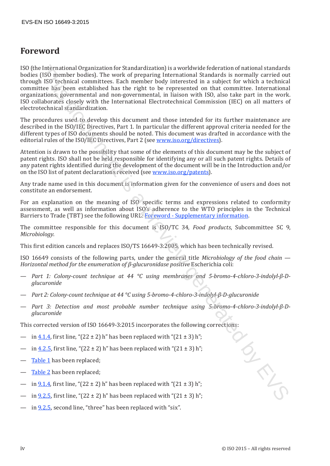# **Foreword**

ISO (the International Organization for Standardization) is a worldwide federation of national standards bodies (ISO member bodies). The work of preparing International Standards is normally carried out through ISO technical committees. Each member body interested in a subject for which a technical committee has been established has the right to be represented on that committee. International organizations, governmental and non-governmental, in liaison with ISO, also take part in the work. ISO collaborates closely with the International Electrotechnical Commission (IEC) on all matters of electrotechnical standardization. is International Of ganakration (is standardization) is a worldwide detection of rational stradardization (is the free total and the free total stradardization) is a propertief in 180 technical commutices. Each member bod

The procedures used to develop this document and those intended for its further maintenance are described in the ISO/IEC Directives, Part 1. In particular the different approval criteria needed for the different types of ISO documents should be noted. This document was drafted in accordance with the editorial rules of the ISO/IEC Directives, Part 2 (see www.iso.org/directives).

Attention is drawn to the possibility that some of the elements of this document may be the subject of patent rights. ISO shall not be held responsible for identifying any or all such patent rights. Details of any patent rights identified during the development of the document will be in the Introduction and/or on the ISO list of patent declarations received (see www.iso.org/patents).

Any trade name used in this document is information given for the convenience of users and does not constitute an endorsement.

For an explanation on the meaning of ISO specific terms and expressions related to conformity assessment, as well as information about ISO's adherence to the WTO principles in the Technical Barriers to Trade (TBT) see the following URL: Foreword - Supplementary information.

The committee responsible for this document is ISO/TC 34, *Food products*, Subcommittee SC 9, *Microbiology*.

This first edition cancels and replaces ISO/TS 16649-3:2005, which has been technically revised.

ISO 16649 consists of the following parts, under the general title *Microbiology of the food chain — Horizontal method for the enumeration of β-glucuronidase positive* Escherichia coli:

- *Part 1: Colony-count technique at 44 °C using membranes and 5-bromo-4-chloro-3-indolyl-β-Dglucuronide*
- *Part 2: Colony-count technique at 44 °C using 5-bromo-4-chloro-3-indolyl-β-D-glucuronide*
- *Part 3: Detection and most probable number technique using 5-bromo-4-chloro-3-indolyl-β-Dglucuronide*

This corrected version of ISO 16649-3:2015 incorporates the following corrections:<br>
— in 4.1.4, first line, "(22 ± 2) h" has been replaced with "(21 ± 3) h";<br>
— in 4.2.5, first line, "(22 ± 2) h" has been replaced with "(

- in  $4.1.4$ , first line, "(22  $\pm$  2) h" has been replaced with "(21  $\pm$  3) h";
- in 4.2.5, first line, " $(22 \pm 2)$  h" has been replaced with " $(21 \pm 3)$  h";
- Table 1 has been replaced;
- Table 2 has been replaced;
- in 9.1.4, first line, "(22  $\pm$  2) h" has been replaced with "(21  $\pm$  3) h";
- in  $\frac{9.2.5}{1}$  first line, "(22 ± 2) h" has been replaced with "(21 ± 3) h";
- in  $9.2.5$ , second line, "three" has been replaced with "six".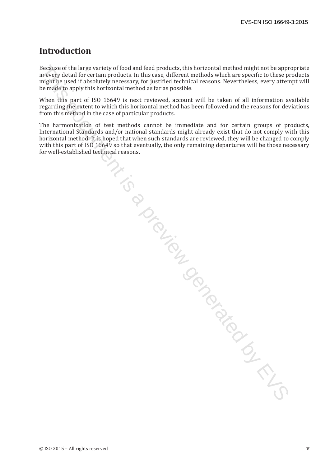# **Introduction**

Because of the large variety of food and feed products, this horizontal method might not be appropriate in every detail for certain products. In this case, different methods which are specific to these products might be used if absolutely necessary, for justified technical reasons. Nevertheless, every attempt will be made to apply this horizontal method as far as possible.

When this part of ISO 16649 is next reviewed, account will be taken of all information available regarding the extent to which this horizontal method has been followed and the reasons for deviations from this method in the case of particular products.

The harmonization of test methods cannot be immediate and for certain groups of products, International Standards and/or national standards might already exist that do not comply with this horizontal method. It is hoped that when such standards are reviewed, they will be changed to comply with this part of ISO 16649 so that eventually, the only remaining departures will be those necessary with this part of ISO 16649 so that eventually, the only remaining departures will be those necessary for well-established technical reasons. Because of the large variety of food and feed products, this horizontal method might not be apply that is a preview generated by the second method of might be used by might be used by might by the control of the solution